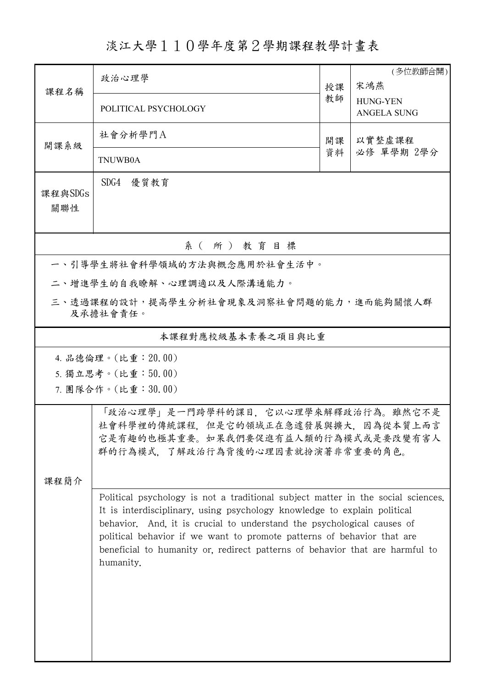## 淡江大學110學年度第2學期課程教學計畫表

| 課程名稱                                                | 政治心理學                                                                                                                                                                                                                                                                                                                                                                                                         | 授課 | (多位教師合開)<br>宋鴻燕                       |  |  |  |  |  |  |
|-----------------------------------------------------|---------------------------------------------------------------------------------------------------------------------------------------------------------------------------------------------------------------------------------------------------------------------------------------------------------------------------------------------------------------------------------------------------------------|----|---------------------------------------|--|--|--|--|--|--|
|                                                     | POLITICAL PSYCHOLOGY                                                                                                                                                                                                                                                                                                                                                                                          | 教師 | <b>HUNG-YEN</b><br><b>ANGELA SUNG</b> |  |  |  |  |  |  |
| 開課系級                                                | 社會分析學門A                                                                                                                                                                                                                                                                                                                                                                                                       | 開課 | 以實整虛課程                                |  |  |  |  |  |  |
|                                                     | TNUWB0A                                                                                                                                                                                                                                                                                                                                                                                                       | 資料 | 必修 單學期 2學分                            |  |  |  |  |  |  |
| 課程與SDGs                                             | SDG4 優質教育                                                                                                                                                                                                                                                                                                                                                                                                     |    |                                       |  |  |  |  |  |  |
| 關聯性                                                 |                                                                                                                                                                                                                                                                                                                                                                                                               |    |                                       |  |  |  |  |  |  |
| 系(所)教育目標                                            |                                                                                                                                                                                                                                                                                                                                                                                                               |    |                                       |  |  |  |  |  |  |
|                                                     | 一、引導學生將社會科學領域的方法與概念應用於社會生活中。                                                                                                                                                                                                                                                                                                                                                                                  |    |                                       |  |  |  |  |  |  |
|                                                     | 二、增進學生的自我瞭解、心理調適以及人際溝通能力。                                                                                                                                                                                                                                                                                                                                                                                     |    |                                       |  |  |  |  |  |  |
| 三、透過課程的設計,提高學生分析社會現象及洞察社會問題的能力,進而能夠關懷人群<br>及承擔社會責任。 |                                                                                                                                                                                                                                                                                                                                                                                                               |    |                                       |  |  |  |  |  |  |
| 本課程對應校級基本素養之項目與比重                                   |                                                                                                                                                                                                                                                                                                                                                                                                               |    |                                       |  |  |  |  |  |  |
| 4. 品德倫理。(比重: 20.00)                                 |                                                                                                                                                                                                                                                                                                                                                                                                               |    |                                       |  |  |  |  |  |  |
| 5. 獨立思考。(比重:50.00)                                  |                                                                                                                                                                                                                                                                                                                                                                                                               |    |                                       |  |  |  |  |  |  |
|                                                     | 7. 團隊合作。(比重:30.00)                                                                                                                                                                                                                                                                                                                                                                                            |    |                                       |  |  |  |  |  |  |
|                                                     | 「政治心理學」是一門跨學科的課目,它以心理學來解釋政治行為。雖然它不是<br>社會科學裡的傳統課程,但是它的領域正在急遽發展與擴大,因為從本質上而言<br>它是有趣的也極其重要。如果我們要促進有益人類的行為模式或是要改變有害人<br>群的行為模式,了解政治行為背後的心理因素就扮演著非常重要的角色。                                                                                                                                                                                                                                                         |    |                                       |  |  |  |  |  |  |
| 课程简介                                                |                                                                                                                                                                                                                                                                                                                                                                                                               |    |                                       |  |  |  |  |  |  |
|                                                     | Political psychology is not a traditional subject matter in the social sciences.<br>It is interdisciplinary, using psychology knowledge to explain political<br>behavior. And, it is crucial to understand the psychological causes of<br>political behavior if we want to promote patterns of behavior that are<br>beneficial to humanity or, redirect patterns of behavior that are harmful to<br>humanity. |    |                                       |  |  |  |  |  |  |
|                                                     |                                                                                                                                                                                                                                                                                                                                                                                                               |    |                                       |  |  |  |  |  |  |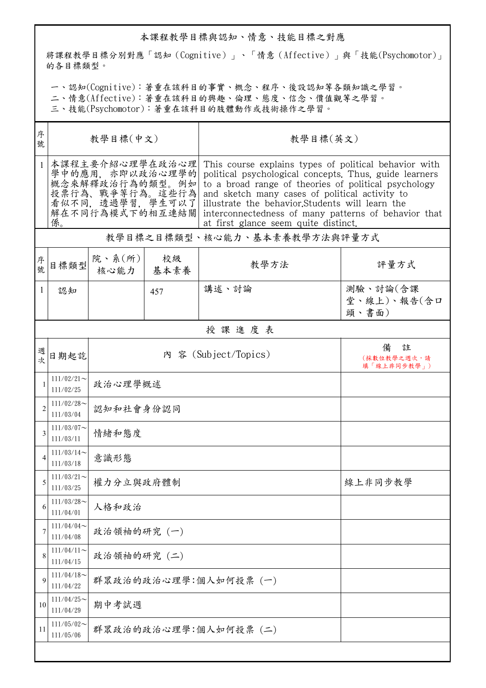## 本課程教學目標與認知、情意、技能目標之對應

將課程教學目標分別對應「認知(Cognitive)」、「情意(Affective)」與「技能(Psychomotor)」 的各目標類型。

一、認知(Cognitive):著重在該科目的事實、概念、程序、後設認知等各類知識之學習。

二、情意(Affective):著重在該科目的興趣、倫理、態度、信念、價值觀等之學習。

三、技能(Psychomotor):著重在該科目的肢體動作或技術操作之學習。

| 序<br>號         | 教學目標(中文)                                                                                                              |                          |            | 教學目標(英文)                                                                                                                                                                                                                                                                                                                                                                      |                                  |  |  |  |
|----------------|-----------------------------------------------------------------------------------------------------------------------|--------------------------|------------|-------------------------------------------------------------------------------------------------------------------------------------------------------------------------------------------------------------------------------------------------------------------------------------------------------------------------------------------------------------------------------|----------------------------------|--|--|--|
|                | 本課程主要介紹心理學在政治心理<br>學中的應用. 亦即以政治心理學的<br>概念來解釋政治行為的類型。例如<br>投票行為、戰爭等行為。這些行為<br>看似不同,透過學習,學生可以了<br>解在不同行為模式下的相互連結關<br>係。 |                          |            | This course explains types of political behavior with<br>political psychological concepts. Thus, guide learners<br>to a broad range of theories of political psychology<br>and sketch many cases of political activity to<br>illustrate the behavior. Students will learn the<br>interconnectedness of many patterns of behavior that<br>at first glance seem quite distinct. |                                  |  |  |  |
|                | 教學目標之目標類型、核心能力、基本素養教學方法與評量方式                                                                                          |                          |            |                                                                                                                                                                                                                                                                                                                                                                               |                                  |  |  |  |
| 序號             | 目標類型                                                                                                                  | 院、系 $(\text{m})$<br>核心能力 | 校級<br>基本素養 | 教學方法                                                                                                                                                                                                                                                                                                                                                                          | 評量方式                             |  |  |  |
| 1              | 認知                                                                                                                    |                          | 457        | 講述、討論                                                                                                                                                                                                                                                                                                                                                                         | 測驗、討論(含課<br>堂、線上)、報告(含口<br>頭、書面) |  |  |  |
|                | 授課進度表                                                                                                                 |                          |            |                                                                                                                                                                                                                                                                                                                                                                               |                                  |  |  |  |
| 週次             | 日期起訖                                                                                                                  | 內 容 (Subject/Topics)     |            | 註<br>備<br>(採數位教學之週次,請<br>填「線上非同步教學」)                                                                                                                                                                                                                                                                                                                                          |                                  |  |  |  |
|                | $111/02/21$ ~<br>111/02/25                                                                                            | 政治心理學概述                  |            |                                                                                                                                                                                                                                                                                                                                                                               |                                  |  |  |  |
| $\mathfrak{D}$ | $111/02/28$ ~<br>111/03/04                                                                                            | 認知和社會身份認同                |            |                                                                                                                                                                                                                                                                                                                                                                               |                                  |  |  |  |
| 3              | $111/03/07$ ~<br>111/03/11                                                                                            | 情緒和態度                    |            |                                                                                                                                                                                                                                                                                                                                                                               |                                  |  |  |  |
| 4              | $111/03/14$ ~<br>111/03/18                                                                                            | 意識形態                     |            |                                                                                                                                                                                                                                                                                                                                                                               |                                  |  |  |  |
| 5              | $111/03/21$ ~<br>111/03/25                                                                                            | 權力分立與政府體制                |            |                                                                                                                                                                                                                                                                                                                                                                               | 線上非同步教學                          |  |  |  |
| 6              | $111/03/28$ ~<br>111/04/01                                                                                            | 人格和政治                    |            |                                                                                                                                                                                                                                                                                                                                                                               |                                  |  |  |  |
| 7              | 111/04/04<br>111/04/08                                                                                                | 政治領袖的研究(一)               |            |                                                                                                                                                                                                                                                                                                                                                                               |                                  |  |  |  |
| 8              | $111/04/11$ ~<br>111/04/15                                                                                            | 政治領袖的研究 (二)              |            |                                                                                                                                                                                                                                                                                                                                                                               |                                  |  |  |  |
| $\mathbf Q$    | $111/04/18$ ~<br>111/04/22                                                                                            | 群眾政治的政治心理學:個人如何投票(一)     |            |                                                                                                                                                                                                                                                                                                                                                                               |                                  |  |  |  |
| 10             | $111/04/25$ ~<br>111/04/29                                                                                            | 期中考試週                    |            |                                                                                                                                                                                                                                                                                                                                                                               |                                  |  |  |  |
| 11             | $111/05/02$ ~<br>111/05/06                                                                                            | 群眾政治的政治心理學:個人如何投票(二)     |            |                                                                                                                                                                                                                                                                                                                                                                               |                                  |  |  |  |
|                |                                                                                                                       |                          |            |                                                                                                                                                                                                                                                                                                                                                                               |                                  |  |  |  |